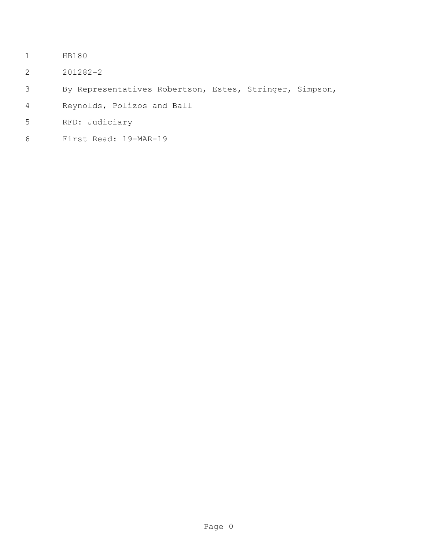- HB180
- 201282-2
- By Representatives Robertson, Estes, Stringer, Simpson,
- Reynolds, Polizos and Ball
- RFD: Judiciary
- First Read: 19-MAR-19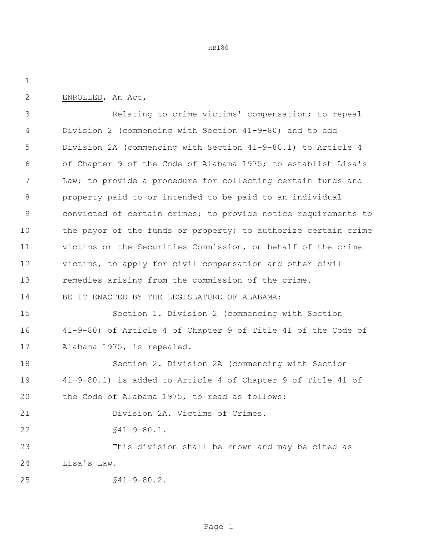HB180

ENROLLED, An Act,

 Relating to crime victims' compensation; to repeal Division 2 (commencing with Section 41-9-80) and to add Division 2A (commencing with Section 41-9-80.1) to Article 4 of Chapter 9 of the Code of Alabama 1975; to establish Lisa's Law; to provide a procedure for collecting certain funds and property paid to or intended to be paid to an individual convicted of certain crimes; to provide notice requirements to 10 the payor of the funds or property; to authorize certain crime victims or the Securities Commission, on behalf of the crime victims, to apply for civil compensation and other civil remedies arising from the commission of the crime. BE IT ENACTED BY THE LEGISLATURE OF ALABAMA:

 Section 1. Division 2 (commencing with Section 41-9-80) of Article 4 of Chapter 9 of Title 41 of the Code of Alabama 1975, is repealed.

 Section 2. Division 2A (commencing with Section 41-9-80.1) is added to Article 4 of Chapter 9 of Title 41 of the Code of Alabama 1975, to read as follows: Division 2A. Victims of Crimes. §41-9-80.1. This division shall be known and may be cited as Lisa's Law.

§41-9-80.2.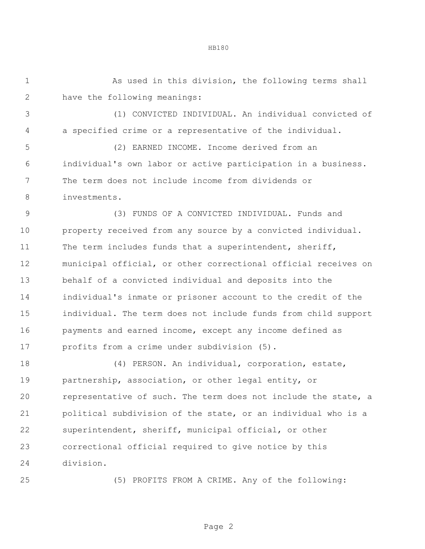As used in this division, the following terms shall

HB180

have the following meanings:

 (1) CONVICTED INDIVIDUAL. An individual convicted of a specified crime or a representative of the individual.

 (2) EARNED INCOME. Income derived from an individual's own labor or active participation in a business. The term does not include income from dividends or investments.

 (3) FUNDS OF A CONVICTED INDIVIDUAL. Funds and property received from any source by a convicted individual. The term includes funds that a superintendent, sheriff, municipal official, or other correctional official receives on behalf of a convicted individual and deposits into the individual's inmate or prisoner account to the credit of the individual. The term does not include funds from child support payments and earned income, except any income defined as profits from a crime under subdivision (5).

 (4) PERSON. An individual, corporation, estate, partnership, association, or other legal entity, or representative of such. The term does not include the state, a political subdivision of the state, or an individual who is a superintendent, sheriff, municipal official, or other correctional official required to give notice by this division.

(5) PROFITS FROM A CRIME. Any of the following: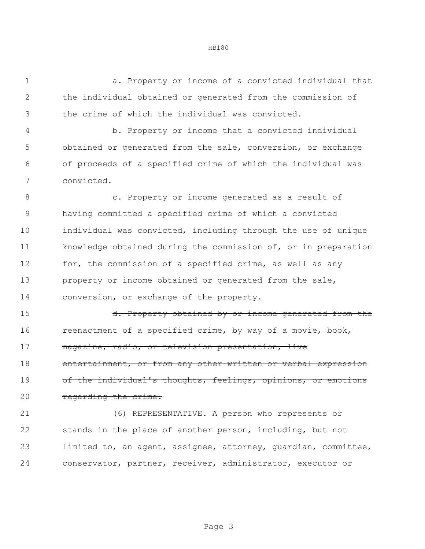a. Property or income of a convicted individual that the individual obtained or generated from the commission of the crime of which the individual was convicted.

 b. Property or income that a convicted individual obtained or generated from the sale, conversion, or exchange of proceeds of a specified crime of which the individual was convicted.

 c. Property or income generated as a result of having committed a specified crime of which a convicted individual was convicted, including through the use of unique knowledge obtained during the commission of, or in preparation for, the commission of a specified crime, as well as any property or income obtained or generated from the sale, conversion, or exchange of the property.

15 d. Property obtained by or income generated from the 16 reenactment of a specified crime, by way of a movie, book, magazine, radio, or television presentation, live 18 entertainment, or from any other written or verbal expression 19 of the individual's thoughts, feelings, opinions, or emotions 20 regarding the crime.

 (6) REPRESENTATIVE. A person who represents or stands in the place of another person, including, but not limited to, an agent, assignee, attorney, guardian, committee, conservator, partner, receiver, administrator, executor or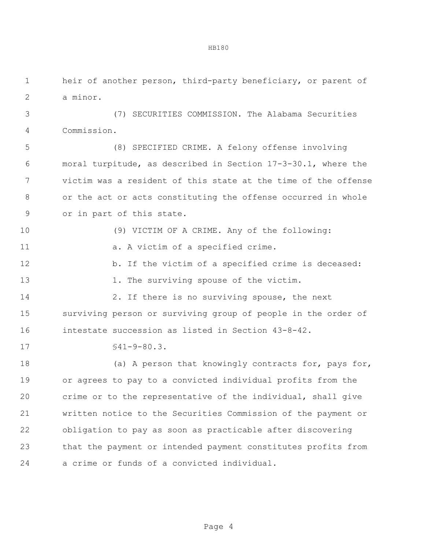heir of another person, third-party beneficiary, or parent of a minor.

 (7) SECURITIES COMMISSION. The Alabama Securities Commission.

 (8) SPECIFIED CRIME. A felony offense involving moral turpitude, as described in Section 17-3-30.1, where the victim was a resident of this state at the time of the offense or the act or acts constituting the offense occurred in whole or in part of this state.

 (9) VICTIM OF A CRIME. Any of the following: 11 a. A victim of a specified crime. 12 b. If the victim of a specified crime is deceased: 13 1. The surviving spouse of the victim. 14 2. If there is no surviving spouse, the next surviving person or surviving group of people in the order of intestate succession as listed in Section 43-8-42. §41-9-80.3. 18 (a) A person that knowingly contracts for, pays for, or agrees to pay to a convicted individual profits from the crime or to the representative of the individual, shall give written notice to the Securities Commission of the payment or obligation to pay as soon as practicable after discovering

that the payment or intended payment constitutes profits from

a crime or funds of a convicted individual.

Page 4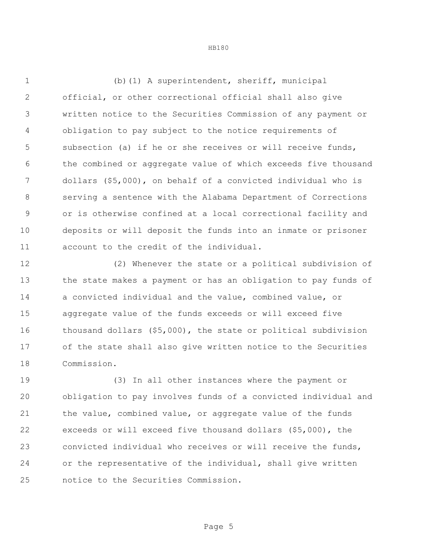(b)(1) A superintendent, sheriff, municipal official, or other correctional official shall also give written notice to the Securities Commission of any payment or obligation to pay subject to the notice requirements of subsection (a) if he or she receives or will receive funds, the combined or aggregate value of which exceeds five thousand dollars (\$5,000), on behalf of a convicted individual who is serving a sentence with the Alabama Department of Corrections or is otherwise confined at a local correctional facility and deposits or will deposit the funds into an inmate or prisoner account to the credit of the individual.

 (2) Whenever the state or a political subdivision of the state makes a payment or has an obligation to pay funds of a convicted individual and the value, combined value, or aggregate value of the funds exceeds or will exceed five thousand dollars (\$5,000), the state or political subdivision of the state shall also give written notice to the Securities Commission.

 (3) In all other instances where the payment or obligation to pay involves funds of a convicted individual and the value, combined value, or aggregate value of the funds exceeds or will exceed five thousand dollars (\$5,000), the convicted individual who receives or will receive the funds, or the representative of the individual, shall give written notice to the Securities Commission.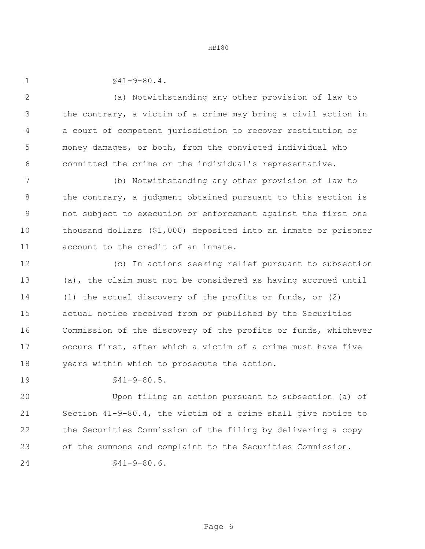HB180

 $$41-9-80.4.$ 

 (a) Notwithstanding any other provision of law to the contrary, a victim of a crime may bring a civil action in a court of competent jurisdiction to recover restitution or money damages, or both, from the convicted individual who committed the crime or the individual's representative.

 (b) Notwithstanding any other provision of law to 8 the contrary, a judgment obtained pursuant to this section is not subject to execution or enforcement against the first one thousand dollars (\$1,000) deposited into an inmate or prisoner account to the credit of an inmate.

 (c) In actions seeking relief pursuant to subsection (a), the claim must not be considered as having accrued until (1) the actual discovery of the profits or funds, or (2) actual notice received from or published by the Securities Commission of the discovery of the profits or funds, whichever occurs first, after which a victim of a crime must have five years within which to prosecute the action.

§41-9-80.5.

 Upon filing an action pursuant to subsection (a) of Section 41-9-80.4, the victim of a crime shall give notice to the Securities Commission of the filing by delivering a copy of the summons and complaint to the Securities Commission. 24 \$41-9-80.6.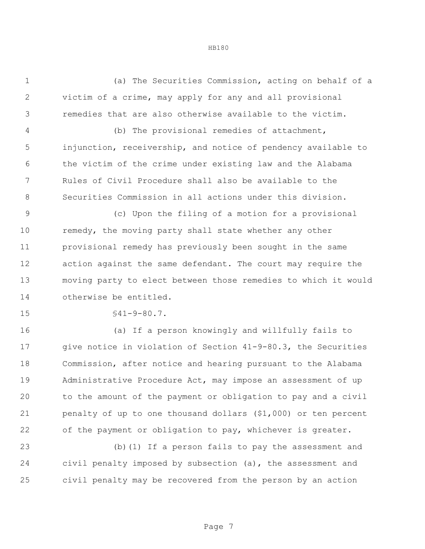(a) The Securities Commission, acting on behalf of a victim of a crime, may apply for any and all provisional remedies that are also otherwise available to the victim.

 (b) The provisional remedies of attachment, injunction, receivership, and notice of pendency available to the victim of the crime under existing law and the Alabama Rules of Civil Procedure shall also be available to the Securities Commission in all actions under this division.

 (c) Upon the filing of a motion for a provisional 10 remedy, the moving party shall state whether any other provisional remedy has previously been sought in the same action against the same defendant. The court may require the moving party to elect between those remedies to which it would otherwise be entitled.

§41-9-80.7.

 (a) If a person knowingly and willfully fails to give notice in violation of Section 41-9-80.3, the Securities Commission, after notice and hearing pursuant to the Alabama Administrative Procedure Act, may impose an assessment of up to the amount of the payment or obligation to pay and a civil penalty of up to one thousand dollars (\$1,000) or ten percent of the payment or obligation to pay, whichever is greater.

 (b)(1) If a person fails to pay the assessment and civil penalty imposed by subsection (a), the assessment and civil penalty may be recovered from the person by an action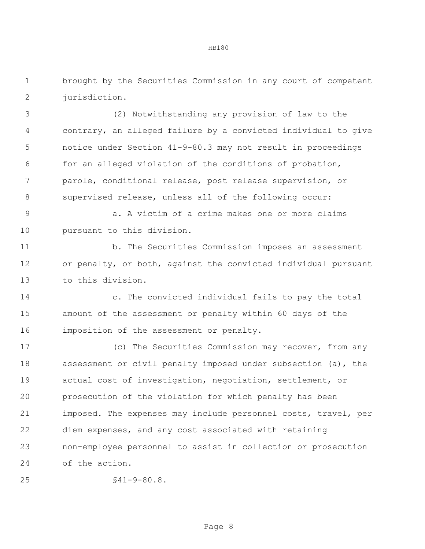brought by the Securities Commission in any court of competent 2 iurisdiction.

 (2) Notwithstanding any provision of law to the contrary, an alleged failure by a convicted individual to give notice under Section 41-9-80.3 may not result in proceedings for an alleged violation of the conditions of probation, parole, conditional release, post release supervision, or supervised release, unless all of the following occur:

 a. A victim of a crime makes one or more claims pursuant to this division.

 b. The Securities Commission imposes an assessment or penalty, or both, against the convicted individual pursuant to this division.

 c. The convicted individual fails to pay the total amount of the assessment or penalty within 60 days of the imposition of the assessment or penalty.

 (c) The Securities Commission may recover, from any assessment or civil penalty imposed under subsection (a), the actual cost of investigation, negotiation, settlement, or prosecution of the violation for which penalty has been imposed. The expenses may include personnel costs, travel, per diem expenses, and any cost associated with retaining non-employee personnel to assist in collection or prosecution of the action.

```
25 §41-9-80.8.
```
Page 8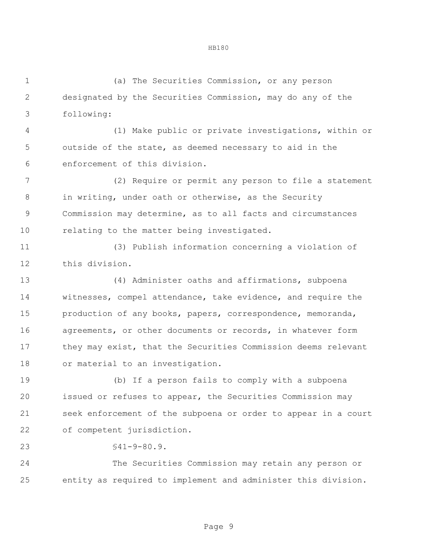(a) The Securities Commission, or any person designated by the Securities Commission, may do any of the following:

 (1) Make public or private investigations, within or outside of the state, as deemed necessary to aid in the enforcement of this division.

 (2) Require or permit any person to file a statement in writing, under oath or otherwise, as the Security Commission may determine, as to all facts and circumstances relating to the matter being investigated.

 (3) Publish information concerning a violation of this division.

 (4) Administer oaths and affirmations, subpoena witnesses, compel attendance, take evidence, and require the production of any books, papers, correspondence, memoranda, 16 agreements, or other documents or records, in whatever form 17 they may exist, that the Securities Commission deems relevant or material to an investigation.

 (b) If a person fails to comply with a subpoena issued or refuses to appear, the Securities Commission may seek enforcement of the subpoena or order to appear in a court of competent jurisdiction.

§41-9-80.9.

 The Securities Commission may retain any person or entity as required to implement and administer this division.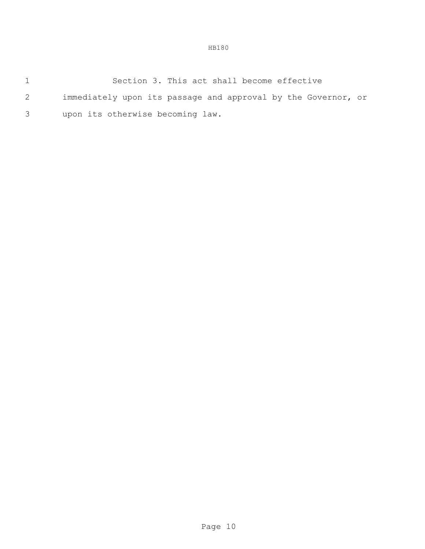|   | Section 3. This act shall become effective                    |
|---|---------------------------------------------------------------|
| 2 | immediately upon its passage and approval by the Governor, or |
|   | upon its otherwise becoming law.                              |